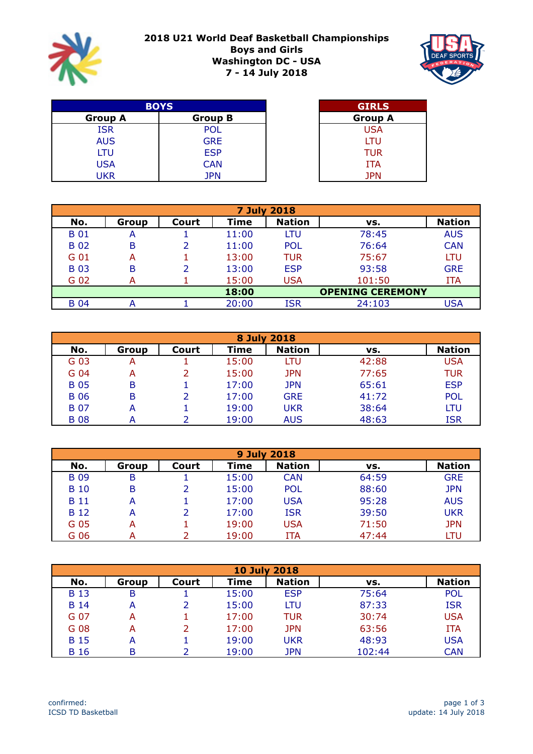

## **2018 U21 World Deaf Basketball Championships Boys and Girls Washington DC - USA 7 - 14 July 2018**



| <b>BOYS</b>    | <b>GIRLS</b>   |            |
|----------------|----------------|------------|
| <b>Group A</b> | <b>Group B</b> | Group /    |
| <b>ISR</b>     | <b>POL</b>     | <b>USA</b> |
| <b>AUS</b>     | <b>GRE</b>     | LTU        |
| LTU            | <b>ESP</b>     | <b>TUR</b> |
| <b>USA</b>     | <b>CAN</b>     | ITA        |
| UKR            | JPN            | <b>JPN</b> |

| <b>GIRLS</b>   |  |
|----------------|--|
| <b>Group A</b> |  |
| USA            |  |
| LTU            |  |
| TUR            |  |
| <b>ITA</b>     |  |
| <b>JPN</b>     |  |

| <b>7 July 2018</b> |       |       |             |               |                         |               |  |  |  |
|--------------------|-------|-------|-------------|---------------|-------------------------|---------------|--|--|--|
| No.                | Group | Court | <b>Time</b> | <b>Nation</b> | VS.                     | <b>Nation</b> |  |  |  |
| <b>B</b> 01        | A     |       | 11:00       | LTU           | 78:45                   | <b>AUS</b>    |  |  |  |
| <b>B02</b>         | B     |       | 11:00       | <b>POL</b>    | 76:64                   | <b>CAN</b>    |  |  |  |
| G 01               | А     |       | 13:00       | <b>TUR</b>    | 75:67                   | LTU           |  |  |  |
| <b>B03</b>         | B     |       | 13:00       | <b>ESP</b>    | 93:58                   | <b>GRE</b>    |  |  |  |
| G 02               | А     |       | 15:00       | <b>USA</b>    | 101:50                  | <b>ITA</b>    |  |  |  |
|                    |       |       | 18:00       |               | <b>OPENING CEREMONY</b> |               |  |  |  |
| <b>B</b> 04        | А     |       | 20:00       | <b>ISR</b>    | 24:103                  | USA           |  |  |  |

|             | 8 July 2018 |       |             |               |       |               |  |  |  |  |
|-------------|-------------|-------|-------------|---------------|-------|---------------|--|--|--|--|
| No.         | Group       | Court | <b>Time</b> | <b>Nation</b> | VS.   | <b>Nation</b> |  |  |  |  |
| G 03        | А           |       | 15:00       | LTU           | 42:88 | <b>USA</b>    |  |  |  |  |
| G 04        | А           |       | 15:00       | <b>JPN</b>    | 77:65 | <b>TUR</b>    |  |  |  |  |
| <b>B</b> 05 | B           |       | 17:00       | <b>JPN</b>    | 65:61 | <b>ESP</b>    |  |  |  |  |
| <b>B</b> 06 | B           |       | 17:00       | <b>GRE</b>    | 41:72 | <b>POL</b>    |  |  |  |  |
| <b>B</b> 07 | А           |       | 19:00       | <b>UKR</b>    | 38:64 | LTU           |  |  |  |  |
| <b>B</b> 08 |             |       | 19:00       | <b>AUS</b>    | 48:63 | <b>ISR</b>    |  |  |  |  |

| <b>9 July 2018</b> |       |       |       |               |       |               |  |  |  |
|--------------------|-------|-------|-------|---------------|-------|---------------|--|--|--|
| No.                | Group | Court | Time  | <b>Nation</b> | VS.   | <b>Nation</b> |  |  |  |
| <b>B</b> 09        | B     |       | 15:00 | <b>CAN</b>    | 64:59 | <b>GRE</b>    |  |  |  |
| <b>B</b> 10        | B     |       | 15:00 | <b>POL</b>    | 88:60 | <b>JPN</b>    |  |  |  |
| <b>B</b> 11        | А     |       | 17:00 | <b>USA</b>    | 95:28 | <b>AUS</b>    |  |  |  |
| <b>B</b> 12        | А     |       | 17:00 | <b>ISR</b>    | 39:50 | <b>UKR</b>    |  |  |  |
| G 05               | А     |       | 19:00 | <b>USA</b>    | 71:50 | <b>JPN</b>    |  |  |  |
| G 06               | А     |       | 19:00 | ITA           | 47:44 | LTU           |  |  |  |

|             | <b>10 July 2018</b> |       |       |               |        |               |  |  |  |  |
|-------------|---------------------|-------|-------|---------------|--------|---------------|--|--|--|--|
| No.         | Group               | Court | Time  | <b>Nation</b> | VS.    | <b>Nation</b> |  |  |  |  |
| <b>B</b> 13 | В                   |       | 15:00 | <b>ESP</b>    | 75:64  | <b>POL</b>    |  |  |  |  |
| <b>B</b> 14 | А                   |       | 15:00 | LTU           | 87:33  | <b>ISR</b>    |  |  |  |  |
| G 07        | А                   |       | 17:00 | <b>TUR</b>    | 30:74  | <b>USA</b>    |  |  |  |  |
| G 08        | А                   |       | 17:00 | <b>JPN</b>    | 63:56  | <b>ITA</b>    |  |  |  |  |
| <b>B</b> 15 | A                   |       | 19:00 | <b>UKR</b>    | 48:93  | <b>USA</b>    |  |  |  |  |
| B 16        | B                   |       | 19:00 | <b>JPN</b>    | 102:44 | <b>CAN</b>    |  |  |  |  |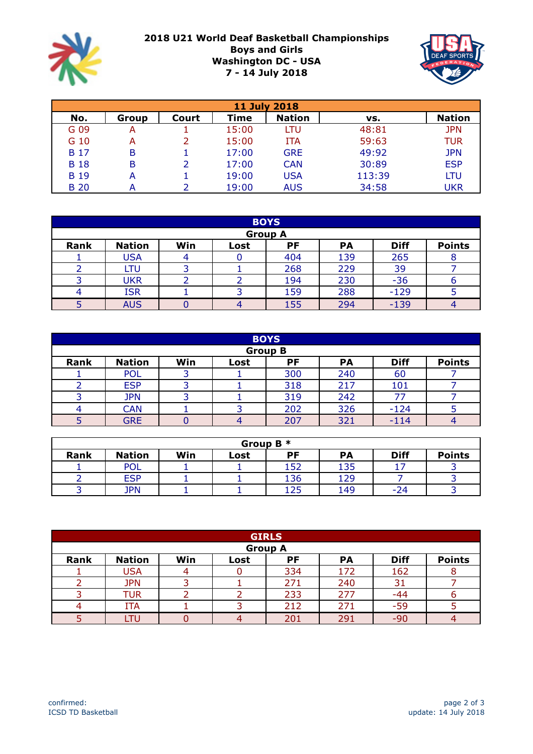

## **2018 U21 World Deaf Basketball Championships Boys and Girls Washington DC - USA 7 - 14 July 2018**



| <b>11 July 2018</b> |       |       |       |               |        |               |  |  |  |
|---------------------|-------|-------|-------|---------------|--------|---------------|--|--|--|
| No.                 | Group | Court | Time  | <b>Nation</b> | VS.    | <b>Nation</b> |  |  |  |
| G 09                | A     |       | 15:00 | LTU           | 48:81  | <b>JPN</b>    |  |  |  |
| G 10                | A     |       | 15:00 | <b>ITA</b>    | 59:63  | <b>TUR</b>    |  |  |  |
| <b>B</b> 17         | B     |       | 17:00 | <b>GRE</b>    | 49:92  | <b>JPN</b>    |  |  |  |
| <b>B</b> 18         | B     |       | 17:00 | <b>CAN</b>    | 30:89  | <b>ESP</b>    |  |  |  |
| <b>B</b> 19         | А     |       | 19:00 | <b>USA</b>    | 113:39 | LTU           |  |  |  |
| <b>B</b> 20         |       |       | 19:00 | <b>AUS</b>    | 34:58  | <b>UKR</b>    |  |  |  |

|      | <b>BOYS</b>   |     |      |                |           |             |               |  |
|------|---------------|-----|------|----------------|-----------|-------------|---------------|--|
|      |               |     |      | <b>Group A</b> |           |             |               |  |
| Rank | <b>Nation</b> | Win | Lost | PF             | <b>PA</b> | <b>Diff</b> | <b>Points</b> |  |
|      | <b>USA</b>    |     |      | 404            | 139       | 265         |               |  |
|      | LTU           |     |      | 268            | 229       | 39          |               |  |
|      | <b>UKR</b>    |     |      | 194            | 230       | $-36$       | n             |  |
|      | <b>ISR</b>    |     |      | 159            | 288       | $-129$      |               |  |
|      | <b>AUS</b>    |     | 4    | 155            | 294       | $-139$      |               |  |

|      | <b>BOYS</b>   |     |      |                |           |             |               |  |
|------|---------------|-----|------|----------------|-----------|-------------|---------------|--|
|      |               |     |      | <b>Group B</b> |           |             |               |  |
| Rank | <b>Nation</b> | Win | Lost | PF             | <b>PA</b> | <b>Diff</b> | <b>Points</b> |  |
|      | <b>POL</b>    |     |      | 300            | 240       | 60          |               |  |
|      | <b>ESP</b>    |     |      | 318            | 217       | 101         |               |  |
|      | <b>JPN</b>    |     |      | 319            | 242       | 77          |               |  |
|      | <b>CAN</b>    |     | ∍    | 202            | 326       | $-124$      |               |  |
|      | <b>GRE</b>    |     | 4    | 207            | 321       | $-114$      |               |  |

| Group B $*$ |               |     |      |     |           |             |               |  |  |
|-------------|---------------|-----|------|-----|-----------|-------------|---------------|--|--|
| Rank        | <b>Nation</b> | Win | Lost | РF  | <b>PA</b> | <b>Diff</b> | <b>Points</b> |  |  |
|             | <b>POL</b>    |     |      | 152 | 135       |             |               |  |  |
|             | <b>ESP</b>    |     |      | 136 | 129       |             |               |  |  |
|             | JPN           |     |      | 125 | 149       | $-24$       |               |  |  |

|      | <b>GIRLS</b>  |     |      |                |           |             |               |  |
|------|---------------|-----|------|----------------|-----------|-------------|---------------|--|
|      |               |     |      | <b>Group A</b> |           |             |               |  |
| Rank | <b>Nation</b> | Win | Lost | PF             | <b>PA</b> | <b>Diff</b> | <b>Points</b> |  |
|      | USA           |     |      | 334            | 172       | 162         |               |  |
|      | <b>JPN</b>    |     |      | 271            | 240       | 31          |               |  |
|      | TUR           |     |      | 233            | 277       | $-44$       |               |  |
|      | <b>ITA</b>    |     |      | 212            | 271       | $-59$       |               |  |
|      | LTU           |     | 4    | 201            | 291       | $-90$       |               |  |